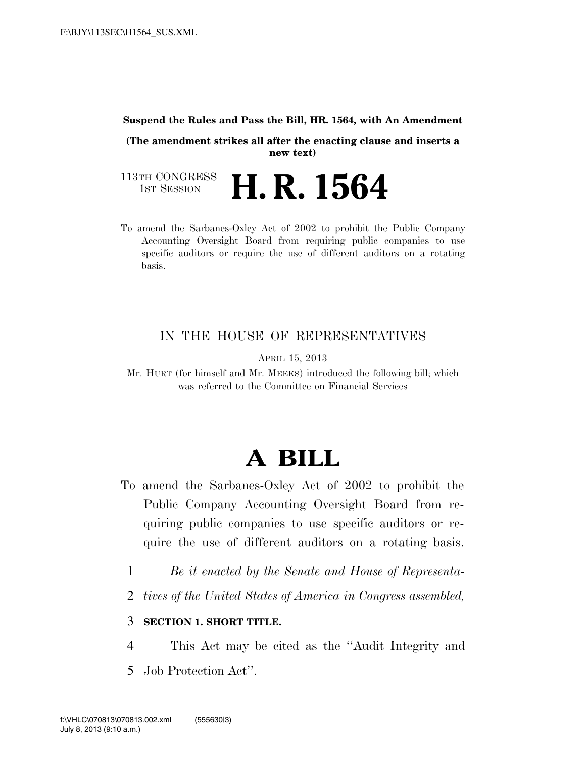#### **Suspend the Rules and Pass the Bill, HR. 1564, with An Amendment**

**(The amendment strikes all after the enacting clause and inserts a new text)**

113TH CONGRESS<br>1st Session **H. R. 1564** 

To amend the Sarbanes-Oxley Act of 2002 to prohibit the Public Company Accounting Oversight Board from requiring public companies to use specific auditors or require the use of different auditors on a rotating basis.

#### IN THE HOUSE OF REPRESENTATIVES

APRIL 15, 2013

Mr. HURT (for himself and Mr. MEEKS) introduced the following bill; which was referred to the Committee on Financial Services

# **A BILL**

- To amend the Sarbanes-Oxley Act of 2002 to prohibit the Public Company Accounting Oversight Board from requiring public companies to use specific auditors or require the use of different auditors on a rotating basis.
	- 1 *Be it enacted by the Senate and House of Representa-*
	- 2 *tives of the United States of America in Congress assembled,*

### 3 **SECTION 1. SHORT TITLE.**

- 4 This Act may be cited as the ''Audit Integrity and
- 5 Job Protection Act''.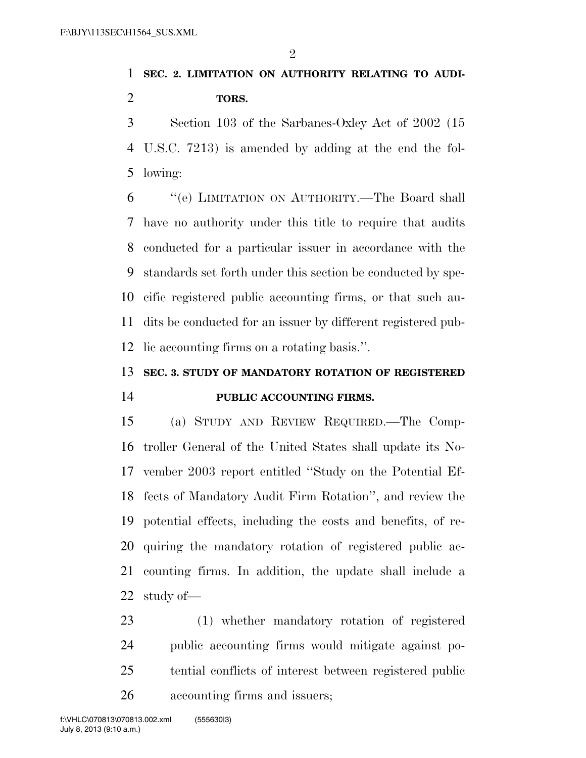## **SEC. 2. LIMITATION ON AUTHORITY RELATING TO AUDI-TORS.**

 Section 103 of the Sarbanes-Oxley Act of 2002 (15 U.S.C. 7213) is amended by adding at the end the fol-lowing:

 ''(e) LIMITATION ON AUTHORITY.—The Board shall have no authority under this title to require that audits conducted for a particular issuer in accordance with the standards set forth under this section be conducted by spe- cific registered public accounting firms, or that such au- dits be conducted for an issuer by different registered pub-lic accounting firms on a rotating basis.''.

## **SEC. 3. STUDY OF MANDATORY ROTATION OF REGISTERED PUBLIC ACCOUNTING FIRMS.**

 (a) STUDY AND REVIEW REQUIRED.—The Comp- troller General of the United States shall update its No- vember 2003 report entitled ''Study on the Potential Ef- fects of Mandatory Audit Firm Rotation'', and review the potential effects, including the costs and benefits, of re- quiring the mandatory rotation of registered public ac- counting firms. In addition, the update shall include a study of—

 (1) whether mandatory rotation of registered public accounting firms would mitigate against po- tential conflicts of interest between registered public accounting firms and issuers;